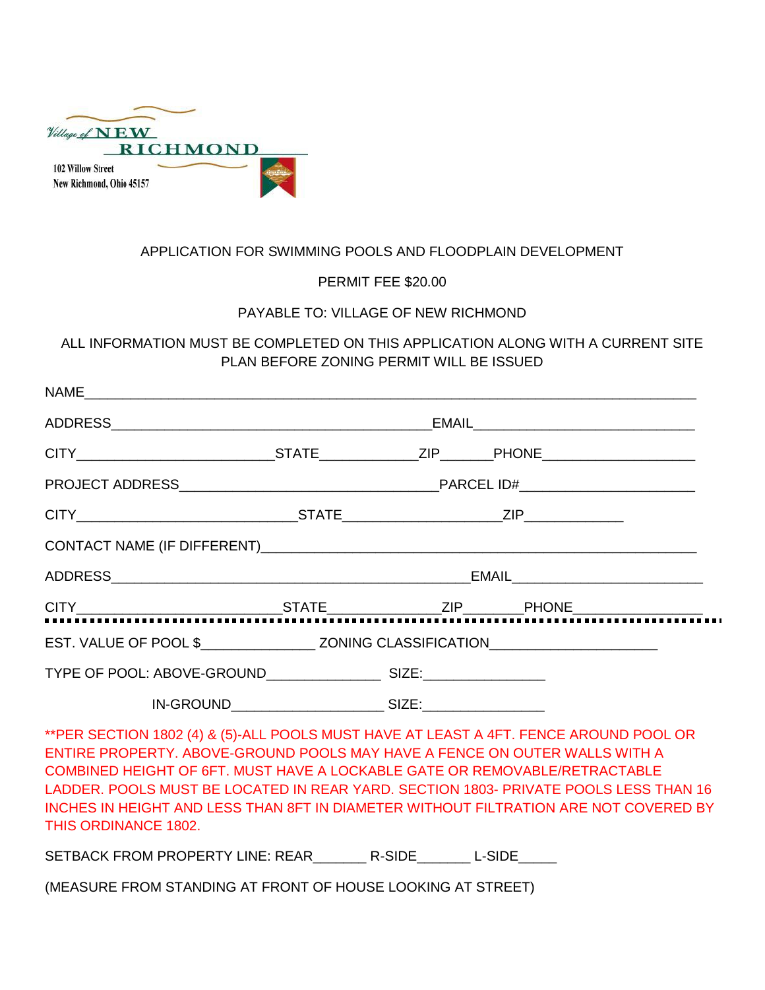| Village of NEW           |                 |
|--------------------------|-----------------|
|                          | <b>RICHMOND</b> |
| <b>102 Willow Street</b> |                 |
| New Richmond, Ohio 45157 |                 |

## APPLICATION FOR SWIMMING POOLS AND FLOODPLAIN DEVELOPMENT

PERMIT FEE \$20.00

## PAYABLE TO: VILLAGE OF NEW RICHMOND

ALL INFORMATION MUST BE COMPLETED ON THIS APPLICATION ALONG WITH A CURRENT SITE PLAN BEFORE ZONING PERMIT WILL BE ISSUED

\*\*PER SECTION 1802 (4) & (5)-ALL POOLS MUST HAVE AT LEAST A 4FT. FENCE AROUND POOL OR ENTIRE PROPERTY. ABOVE-GROUND POOLS MAY HAVE A FENCE ON OUTER WALLS WITH A COMBINED HEIGHT OF 6FT. MUST HAVE A LOCKABLE GATE OR REMOVABLE/RETRACTABLE LADDER. POOLS MUST BE LOCATED IN REAR YARD. SECTION 1803- PRIVATE POOLS LESS THAN 16 INCHES IN HEIGHT AND LESS THAN 8FT IN DIAMETER WITHOUT FILTRATION ARE NOT COVERED BY THIS ORDINANCE 1802.

SETBACK FROM PROPERTY LINE: REAR \_\_\_\_\_\_\_\_\_ R-SIDE\_\_\_\_\_\_\_\_ L-SIDE\_\_\_\_\_\_

(MEASURE FROM STANDING AT FRONT OF HOUSE LOOKING AT STREET)